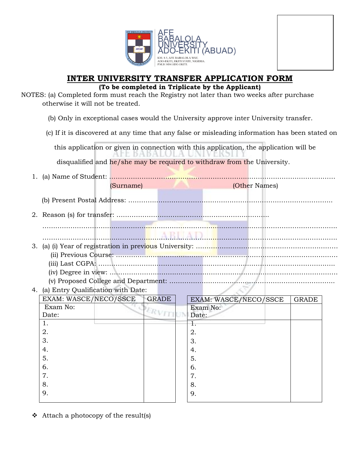

## **INTER UNIVERSITY TRANSFER APPLICATION FORM**

## **(To be completed in Triplicate by the Applicant)**

- NOTES: (a) Completed form must reach the Registry not later than two weeks after purchase otherwise it will not be treated.
	- (b) Only in exceptional cases would the University approve inter University transfer.
	- (c) If it is discovered at any time that any false or misleading information has been stated on

this application or given in connection with this application, the application will be

disqualified and he/she may be required to withdraw from the University.

- 1. (a) Name of Student: …………………………………………………………………………………………… (Surname) (Other Names) (b) Present Postal Address: ………………………………………………………………………………….. 2. Reason (s) for transfer: …………………………………………………………….. ……………………………………………………………………………………………………………………….. ……………………………………………………………………………………………………………………….. 3. (a) (i) Year of registration in previous University: ………………………………………………………… (ii) Previous Course: …………………………………………………………………………………………. (iii) Last CGPA: ……………………………………………………………………………………………….. (iv) Degree in view: ……………………………………………………………………………………………. (v) Proposed College and Department: ………………………………………………………………….. 4. (a) Entry Qualification with Date: EXAM: WASCE/NECO/SSCE GRADE EXAM: WASCE/NECO/SSCE | GRADE Exam No: Exam No: ERVITI Date: Date: 1. 1. 2. 2. 3. 3. 4. 4. 5. 5. 6. 6. 7. 7. 8. 8. 9. 9.
- $\triangleleft$  Attach a photocopy of the result(s)